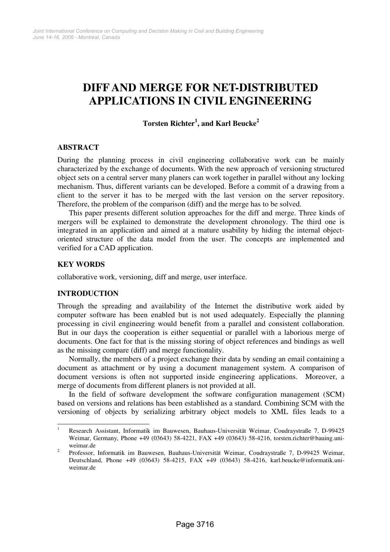# **DIFF AND MERGE FOR NET-DISTRIBUTED APPLICATIONS IN CIVIL ENGINEERING**

**Torsten Richter<sup>1</sup> , and Karl Beucke<sup>2</sup>**

# **ABSTRACT**

During the planning process in civil engineering collaborative work can be mainly characterized by the exchange of documents. With the new approach of versioning structured object sets on a central server many planers can work together in parallel without any locking mechanism. Thus, different variants can be developed. Before a commit of a drawing from a client to the server it has to be merged with the last version on the server repository. Therefore, the problem of the comparison (diff) and the merge has to be solved.

This paper presents different solution approaches for the diff and merge. Three kinds of mergers will be explained to demonstrate the development chronology. The third one is integrated in an application and aimed at a mature usability by hiding the internal objectoriented structure of the data model from the user. The concepts are implemented and verified for a CAD application.

# **KEY WORDS**

collaborative work, versioning, diff and merge, user interface.

# **INTRODUCTION**

Through the spreading and availability of the Internet the distributive work aided by computer software has been enabled but is not used adequately. Especially the planning processing in civil engineering would benefit from a parallel and consistent collaboration. But in our days the cooperation is either sequential or parallel with a laborious merge of documents. One fact for that is the missing storing of object references and bindings as well as the missing compare (diff) and merge functionality.

Normally, the members of a project exchange their data by sending an email containing a document as attachment or by using a document management system. A comparison of document versions is often not supported inside engineering applications. Moreover, a merge of documents from different planers is not provided at all.

In the field of software development the software configuration management (SCM) based on versions and relations has been established as a standard. Combining SCM with the versioning of objects by serializing arbitrary object models to XML files leads to a

 $\frac{1}{1}$  Research Assistant, Informatik im Bauwesen, Bauhaus-Universität Weimar, Coudraystraße 7, D-99425 Weimar, Germany, Phone +49 (03643) 58-4221, FAX +49 (03643) 58-4216, torsten.richter@bauing.uniweimar.de

<sup>2</sup> Professor, Informatik im Bauwesen, Bauhaus-Universität Weimar, Coudraystraße 7, D-99425 Weimar, Deutschland, Phone +49 (03643) 58-4215, FAX +49 (03643) 58-4216, karl.beucke@informatik.uniweimar.de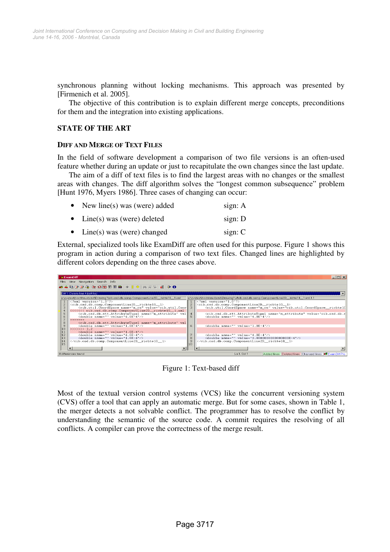synchronous planning without locking mechanisms. This approach was presented by [Firmenich et al. 2005].

The objective of this contribution is to explain different merge concepts, preconditions for them and the integration into existing applications.

# **STATE OF THE ART**

#### **DIFF AND MERGE OF TEXT FILES**

In the field of software development a comparison of two file versions is an often-used feature whether during an update or just to recapitulate the own changes since the last update.

The aim of a diff of text files is to find the largest areas with no changes or the smallest areas with changes. The diff algorithm solves the "longest common subsequence" problem [Hunt 1976, Myers 1986]. Three cases of changing can occur:

| New line(s) was (were) added | sign: $A$ |
|------------------------------|-----------|
| • Line(s) was (were) deleted | sign: $D$ |
| Line(s) was (were) changed   | sign: $C$ |

External, specialized tools like ExamDiff are often used for this purpose. Figure 1 shows this program in action during a comparison of two text files. Changed lines are highlighted by different colors depending on the three cases above.

|          | <b>Exampliff</b>                                                                                                                                                                                                                                                                                                                                                                                             |                       | $   $ $  $ $\times$ $ $                                                                                     |   |                                          |
|----------|--------------------------------------------------------------------------------------------------------------------------------------------------------------------------------------------------------------------------------------------------------------------------------------------------------------------------------------------------------------------------------------------------------------|-----------------------|-------------------------------------------------------------------------------------------------------------|---|------------------------------------------|
|          | Files View Navigation Search Info                                                                                                                                                                                                                                                                                                                                                                            |                       |                                                                                                             |   |                                          |
|          | おんなすび 4   取取用用用用 ▲ ~ ~   商者名  ボ  ル ●                                                                                                                                                                                                                                                                                                                                                                         |                       |                                                                                                             |   |                                          |
|          | Diff 1: Delete line 4 (left file)                                                                                                                                                                                                                                                                                                                                                                            |                       |                                                                                                             |   |                                          |
|          | e:\cvstest\hochhaus\cad\Drawinq1\cib.cad.db.comp.ComponentLine2D_richte10_1.xml                                                                                                                                                                                                                                                                                                                              |                       | e:\cvstest\hochhaus\cad\Drawing1\#cib.cad.db.comp.ComponentLine2D_richte10_1.xml.1.1                        |   |                                          |
|          | xml version="1.0"?                                                                                                                                                                                                                                                                                                                                                                                           |                       | xml version="1.0"?                                                                                          |   |                                          |
|          | <cib.cad.db.comp.componentline2d 1="" richte10=""><br/>3.</cib.cad.db.comp.componentline2d>                                                                                                                                                                                                                                                                                                                  | $\overline{2}$<br>-31 | <cib.cad.db.comp.componentline2d_richte10_1></cib.cad.db.comp.componentline2d_richte10_1>                   |   |                                          |
|          | <cib.util.coordspace attribute"="" cs"="" m="" name="m_cs" th="" val<="" value="cib.util.CoordSpace richte10&lt;/td&gt;&lt;/tr&gt;&lt;tr&gt;&lt;th&gt;&lt;/th&gt;&lt;th&gt;5&lt;br&gt;&lt;cib.cad.db.att.AttributeTupel name="><th><math>\overline{4}</math></th><th><cib.cad.db.att.attributetupel "="" name="m attribute" value="4.0E-4"></cib.cad.db.att.attributetupel><br/>6</th></cib.util.coordspace> | $\overline{4}$        | <cib.cad.db.att.attributetupel "="" name="m attribute" value="4.0E-4"></cib.cad.db.att.attributetupel><br>6 | 5 | <double name="" value="4.0E-4"></double> |
|          |                                                                                                                                                                                                                                                                                                                                                                                                              |                       |                                                                                                             |   |                                          |
| 8        | <cib.cad.db.att.attributetupel name="m_attribute" val<br=""><math>\mathbf{q}</math><br/><double name="" value="1.0E-4"></double></cib.cad.db.att.attributetupel>                                                                                                                                                                                                                                             | 6.                    | <double name="" value="1.0E-4"></double>                                                                    |   |                                          |
| 110      | $>>>>>>2$ 1.2                                                                                                                                                                                                                                                                                                                                                                                                |                       |                                                                                                             |   |                                          |
| 11       | <double name="" value="1.0E-4"></double>                                                                                                                                                                                                                                                                                                                                                                     |                       |                                                                                                             |   |                                          |
| 12       | <double name="" value="4.0E-4"></double>                                                                                                                                                                                                                                                                                                                                                                     |                       | <double name="" value="4.0E-4"></double>                                                                    |   |                                          |
| lı 3     | <double name="" value="1.0E-4"></double>                                                                                                                                                                                                                                                                                                                                                                     | 8                     | <double name="" value="3.0000000000000003E-4"></double>                                                     |   |                                          |
| 14<br>15 |                                                                                                                                                                                                                                                                                                                                                                                                              | 9                     |                                                                                                             |   |                                          |
|          | 110                                                                                                                                                                                                                                                                                                                                                                                                          |                       |                                                                                                             |   |                                          |
|          |                                                                                                                                                                                                                                                                                                                                                                                                              |                       |                                                                                                             |   |                                          |
|          | 4 differences found                                                                                                                                                                                                                                                                                                                                                                                          |                       | Added lines Deleted lines Changed lines 3 ExamDiff Pro<br>Ln 1. Col 1                                       |   |                                          |

Figure 1: Text-based diff

Most of the textual version control systems (VCS) like the concurrent versioning system (CVS) offer a tool that can apply an automatic merge. But for some cases, shown in Table 1, the merger detects a not solvable conflict. The programmer has to resolve the conflict by understanding the semantic of the source code. A commit requires the resolving of all conflicts. A compiler can prove the correctness of the merge result.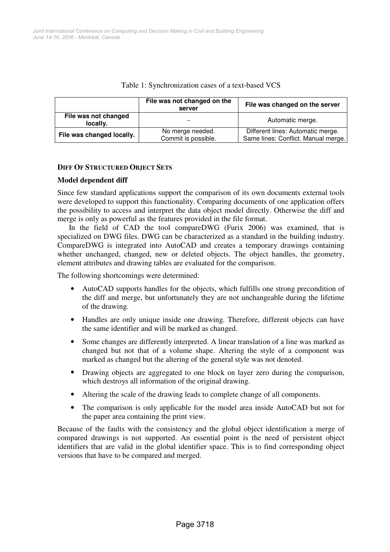|                                  | File was not changed on the<br>server   | File was changed on the server                                           |  |
|----------------------------------|-----------------------------------------|--------------------------------------------------------------------------|--|
| File was not changed<br>locally. |                                         | Automatic merge.                                                         |  |
| File was changed locally.        | No merge needed.<br>Commit is possible. | Different lines: Automatic merge.<br>Same lines: Conflict. Manual merge. |  |

## Table 1: Synchronization cases of a text-based VCS

## **DIFF OF STRUCTURED OBJECT SETS**

## **Model dependent diff**

Since few standard applications support the comparison of its own documents external tools were developed to support this functionality. Comparing documents of one application offers the possibility to access and interpret the data object model directly. Otherwise the diff and merge is only as powerful as the features provided in the file format.

In the field of CAD the tool compareDWG (Furix 2006) was examined, that is specialized on DWG files. DWG can be characterized as a standard in the building industry. CompareDWG is integrated into AutoCAD and creates a temporary drawings containing whether unchanged, changed, new or deleted objects. The object handles, the geometry, element attributes and drawing tables are evaluated for the comparison.

The following shortcomings were determined:

- AutoCAD supports handles for the objects, which fulfills one strong precondition of the diff and merge, but unfortunately they are not unchangeable during the lifetime of the drawing.
- Handles are only unique inside one drawing. Therefore, different objects can have the same identifier and will be marked as changed.
- Some changes are differently interpreted. A linear translation of a line was marked as changed but not that of a volume shape. Altering the style of a component was marked as changed but the altering of the general style was not denoted.
- Drawing objects are aggregated to one block on layer zero during the comparison, which destroys all information of the original drawing.
- Altering the scale of the drawing leads to complete change of all components.
- The comparison is only applicable for the model area inside AutoCAD but not for the paper area containing the print view.

Because of the faults with the consistency and the global object identification a merge of compared drawings is not supported. An essential point is the need of persistent object identifiers that are valid in the global identifier space. This is to find corresponding object versions that have to be compared and merged.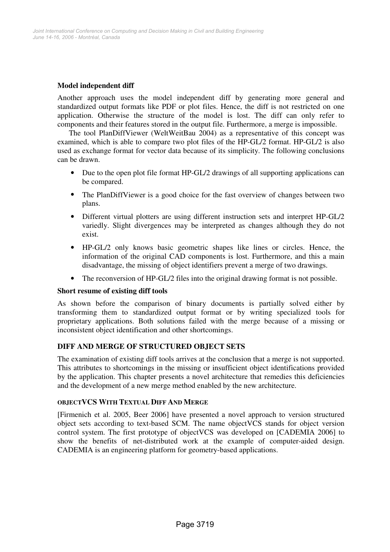# **Model independent diff**

Another approach uses the model independent diff by generating more general and standardized output formats like PDF or plot files. Hence, the diff is not restricted on one application. Otherwise the structure of the model is lost. The diff can only refer to components and their features stored in the output file. Furthermore, a merge is impossible.

The tool PlanDiffViewer (WeltWeitBau 2004) as a representative of this concept was examined, which is able to compare two plot files of the HP-GL/2 format. HP-GL/2 is also used as exchange format for vector data because of its simplicity. The following conclusions can be drawn.

- Due to the open plot file format HP-GL/2 drawings of all supporting applications can be compared.
- The PlanDiffViewer is a good choice for the fast overview of changes between two plans.
- Different virtual plotters are using different instruction sets and interpret HP-GL/2 variedly. Slight divergences may be interpreted as changes although they do not exist.
- HP-GL/2 only knows basic geometric shapes like lines or circles. Hence, the information of the original CAD components is lost. Furthermore, and this a main disadvantage, the missing of object identifiers prevent a merge of two drawings.
- The reconversion of HP-GL/2 files into the original drawing format is not possible.

# **Short resume of existing diff tools**

As shown before the comparison of binary documents is partially solved either by transforming them to standardized output format or by writing specialized tools for proprietary applications. Both solutions failed with the merge because of a missing or inconsistent object identification and other shortcomings.

# **DIFF AND MERGE OF STRUCTURED OBJECT SETS**

The examination of existing diff tools arrives at the conclusion that a merge is not supported. This attributes to shortcomings in the missing or insufficient object identifications provided by the application. This chapter presents a novel architecture that remedies this deficiencies and the development of a new merge method enabled by the new architecture.

# **OBJECTVCS WITH TEXTUAL DIFF AND MERGE**

[Firmenich et al. 2005, Beer 2006] have presented a novel approach to version structured object sets according to text-based SCM. The name objectVCS stands for object version control system. The first prototype of objectVCS was developed on [CADEMIA 2006] to show the benefits of net-distributed work at the example of computer-aided design. CADEMIA is an engineering platform for geometry-based applications.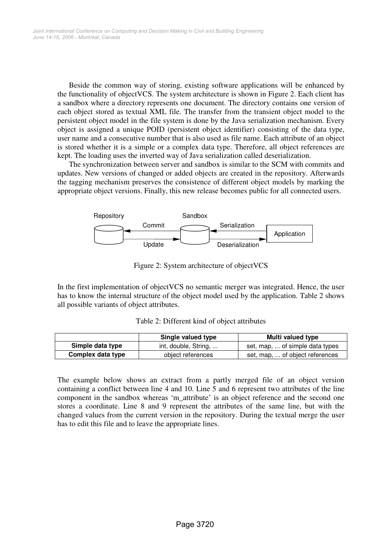Beside the common way of storing, existing software applications will be enhanced by the functionality of objectVCS. The system architecture is shown in Figure 2. Each client has a sandbox where a directory represents one document. The directory contains one version of each object stored as textual XML file. The transfer from the transient object model to the persistent object model in the file system is done by the Java serialization mechanism. Every object is assigned a unique POID (persistent object identifier) consisting of the data type, user name and a consecutive number that is also used as file name. Each attribute of an object is stored whether it is a simple or a complex data type. Therefore, all object references are kept. The loading uses the inverted way of Java serialization called deserialization.

The synchronization between server and sandbox is similar to the SCM with commits and updates. New versions of changed or added objects are created in the repository. Afterwards the tagging mechanism preserves the consistence of different object models by marking the appropriate object versions. Finally, this new release becomes public for all connected users.



Figure 2: System architecture of objectVCS

In the first implementation of objectVCS no semantic merger was integrated. Hence, the user has to know the internal structure of the object model used by the application. Table 2 shows all possible variants of object attributes.

|                   | Single valued type   | Multi valued type               |
|-------------------|----------------------|---------------------------------|
| Simple data type  | int, double, String, | set, map,  of simple data types |
| Complex data type | object references    | set, map,  of object references |

Table 2: Different kind of object attributes

The example below shows an extract from a partly merged file of an object version containing a conflict between line 4 and 10. Line 5 and 6 represent two attributes of the line component in the sandbox whereas 'm\_attribute' is an object reference and the second one stores a coordinate. Line 8 and 9 represent the attributes of the same line, but with the changed values from the current version in the repository. During the textual merge the user has to edit this file and to leave the appropriate lines.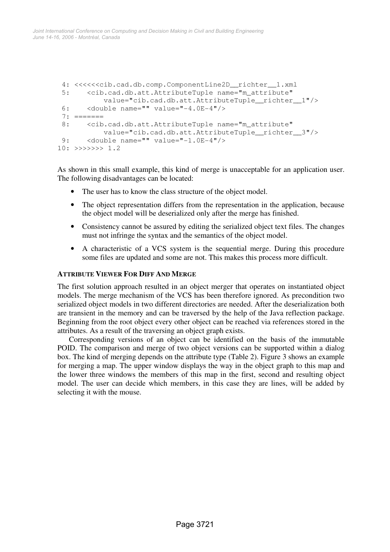```
 4: <<<<<<cib.cad.db.comp.ComponentLine2D__richter__1.xml 
  5: <cib.cad.db.att.AttributeTuple name="m_attribute" 
             value="cib.cad.db.att.AttributeTuple__richter__1"/> 
  6: <double name="" value="-4.0E-4"/> 
 7: == == == ==8: <cib.cad.db.att.AttributeTuple name="m_attribute"
             value="cib.cad.db.att.AttributeTuple__richter__3"/> 
  9: <double name="" value="-1.0E-4"/> 
10: \rightarrow \rightarrow \rightarrow \rightarrow \rightarrow \rightarrow 1.2
```
As shown in this small example, this kind of merge is unacceptable for an application user. The following disadvantages can be located:

- The user has to know the class structure of the object model.
- The object representation differs from the representation in the application, because the object model will be deserialized only after the merge has finished.
- Consistency cannot be assured by editing the serialized object text files. The changes must not infringe the syntax and the semantics of the object model.
- A characteristic of a VCS system is the sequential merge. During this procedure some files are updated and some are not. This makes this process more difficult.

## **ATTRIBUTE VIEWER FOR DIFF AND MERGE**

The first solution approach resulted in an object merger that operates on instantiated object models. The merge mechanism of the VCS has been therefore ignored. As precondition two serialized object models in two different directories are needed. After the deserialization both are transient in the memory and can be traversed by the help of the Java reflection package. Beginning from the root object every other object can be reached via references stored in the attributes. As a result of the traversing an object graph exists.

Corresponding versions of an object can be identified on the basis of the immutable POID. The comparison and merge of two object versions can be supported within a dialog box. The kind of merging depends on the attribute type (Table 2). Figure 3 shows an example for merging a map. The upper window displays the way in the object graph to this map and the lower three windows the members of this map in the first, second and resulting object model. The user can decide which members, in this case they are lines, will be added by selecting it with the mouse.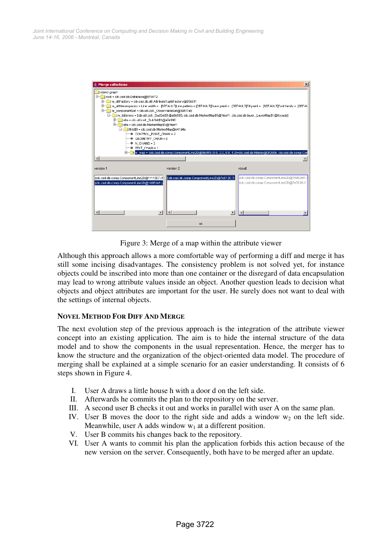| <b>Merge collections</b><br>object graph                                                                                                                                                                                             |                                                                                                                                                                                   | $\vert x \vert$                                                                            |  |  |  |  |
|--------------------------------------------------------------------------------------------------------------------------------------------------------------------------------------------------------------------------------------|-----------------------------------------------------------------------------------------------------------------------------------------------------------------------------------|--------------------------------------------------------------------------------------------|--|--|--|--|
| Front = cib.cad.db.Database@87d472<br>m attFactory = cib.cad.db.att.AttributeTupleFactory@83e5f1<br>m_attNamespaces = Line width = [DEFAULT]Line pattern = [DEFAULT]Draw paint = [DEFAULT]Fill paint = [DEFAULT]Font family = [DEFAU |                                                                                                                                                                                   |                                                                                            |  |  |  |  |
|                                                                                                                                                                                                                                      | m_componentSet = cib.util.coll._ObservableSet@395f7e8<br>白- m_listeners = [cib.util.coll,_SubSet\$1@a0e990, cib.cad.db.MarkerMap\$1@ffeef1, cib.cad.db.layer,_LayerMap\$1@fccada] |                                                                                            |  |  |  |  |
| E-E elm = cib.util.coll._SubSet\$1@a0e990<br>F-<br>elm = cib.cad.db.MarkerMap\$1@ffeef1                                                                                                                                              |                                                                                                                                                                                   |                                                                                            |  |  |  |  |
|                                                                                                                                                                                                                                      | this\$0 = cib.cad.db.MarkerMap@e41d4a<br>CONTROL POINT CHAIN = 2                                                                                                                  |                                                                                            |  |  |  |  |
| $N$ CHAINS = 3                                                                                                                                                                                                                       | + GEOMETRY CHAIN = 0                                                                                                                                                              |                                                                                            |  |  |  |  |
| TEXT CHAIN = 1                                                                                                                                                                                                                       | m_map = {cib.cad.db.comp.ComponentLine2D@9b8ff9 (0.0, 2.0, 0.0, 4.0)=cib.cad.db.Marker@3f265b, cib.cad.db.comp.Con                                                                |                                                                                            |  |  |  |  |
|                                                                                                                                                                                                                                      |                                                                                                                                                                                   |                                                                                            |  |  |  |  |
| version 1                                                                                                                                                                                                                            | version 2                                                                                                                                                                         | result                                                                                     |  |  |  |  |
| (cib.cad.db.comp.ComponentLine2D@1f11507 (1)<br>{cib.cad.db.comp.ComponentLine2D@10952e8(                                                                                                                                            | cib.cad.db.comp.ComponentLine2D@7e5130 (1                                                                                                                                         | {cib.cad.db.comp.ComponentLine2D@10952e8 (4<br>{cib.cad.db.comp.ComponentLine2D@7e5130 (1. |  |  |  |  |
|                                                                                                                                                                                                                                      |                                                                                                                                                                                   |                                                                                            |  |  |  |  |
|                                                                                                                                                                                                                                      | ok                                                                                                                                                                                |                                                                                            |  |  |  |  |

Figure 3: Merge of a map within the attribute viewer

Although this approach allows a more comfortable way of performing a diff and merge it has still some incising disadvantages. The consistency problem is not solved yet, for instance objects could be inscribed into more than one container or the disregard of data encapsulation may lead to wrong attribute values inside an object. Another question leads to decision what objects and object attributes are important for the user. He surely does not want to deal with the settings of internal objects.

# **NOVEL METHOD FOR DIFF AND MERGE**

The next evolution step of the previous approach is the integration of the attribute viewer concept into an existing application. The aim is to hide the internal structure of the data model and to show the components in the usual representation. Hence, the merger has to know the structure and the organization of the object-oriented data model. The procedure of merging shall be explained at a simple scenario for an easier understanding. It consists of 6 steps shown in Figure 4.

- I. User A draws a little house h with a door d on the left side.
- II. Afterwards he commits the plan to the repository on the server.
- III. A second user B checks it out and works in parallel with user A on the same plan.
- IV. User B moves the door to the right side and adds a window  $w_2$  on the left side. Meanwhile, user A adds window  $w_1$  at a different position.
- V. User B commits his changes back to the repository.
- VI. User A wants to commit his plan the application forbids this action because of the new version on the server. Consequently, both have to be merged after an update.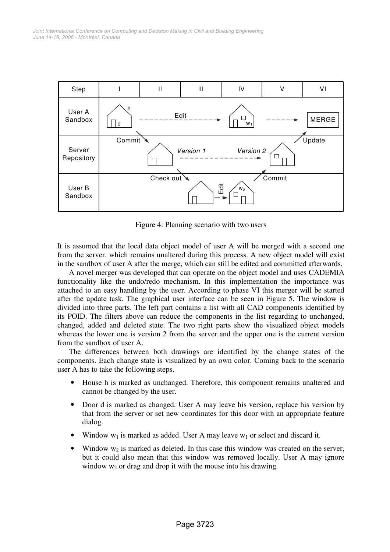

Figure 4: Planning scenario with two users

It is assumed that the local data object model of user A will be merged with a second one from the server, which remains unaltered during this process. A new object model will exist in the sandbox of user A after the merge, which can still be edited and committed afterwards.

A novel merger was developed that can operate on the object model and uses CADEMIA functionality like the undo/redo mechanism. In this implementation the importance was attached to an easy handling by the user. According to phase VI this merger will be started after the update task. The graphical user interface can be seen in Figure 5. The window is divided into three parts. The left part contains a list with all CAD components identified by its POID. The filters above can reduce the components in the list regarding to unchanged, changed, added and deleted state. The two right parts show the visualized object models whereas the lower one is version 2 from the server and the upper one is the current version from the sandbox of user A.

The differences between both drawings are identified by the change states of the components. Each change state is visualized by an own color. Coming back to the scenario user A has to take the following steps.

- House h is marked as unchanged. Therefore, this component remains unaltered and cannot be changed by the user.
- Door d is marked as changed. User A may leave his version, replace his version by that from the server or set new coordinates for this door with an appropriate feature dialog.
- Window  $w_1$  is marked as added. User A may leave  $w_1$  or select and discard it.
- Window  $w_2$  is marked as deleted. In this case this window was created on the server, but it could also mean that this window was removed locally. User A may ignore window  $w_2$  or drag and drop it with the mouse into his drawing.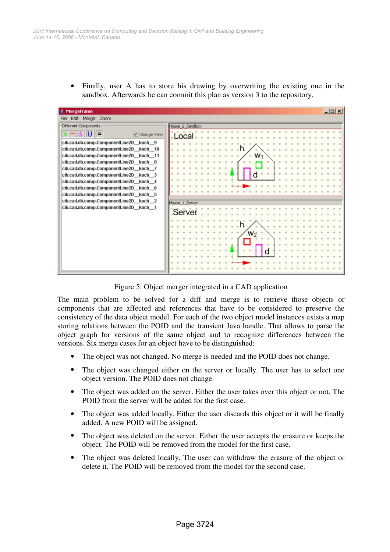Finally, user A has to store his drawing by overwriting the existing one in the sandbox. Afterwards he can commit this plan as version 3 to the repository.

| MergeFrame                              |                 | $ \Box$ $\times$ |  |  |  |  |  |
|-----------------------------------------|-----------------|------------------|--|--|--|--|--|
| Edit Merge Zoom<br>File                 |                 |                  |  |  |  |  |  |
| Different Components                    | House 2 Sandbox |                  |  |  |  |  |  |
| $V$ Change View                         | . Local         |                  |  |  |  |  |  |
| cib.cad.db.comp.ComponentLine2D koch 9  |                 |                  |  |  |  |  |  |
| cib.cad.db.comp.ComponentLine2D_koch_10 |                 |                  |  |  |  |  |  |
| cib.cad.db.comp.ComponentLine2D_koch_11 | w٠              |                  |  |  |  |  |  |
| cib.cad.db.comp.ComponentLine2D koch 8  |                 |                  |  |  |  |  |  |
| cib.cad.db.comp.ComponentLine2D koch 7  |                 |                  |  |  |  |  |  |
| cib.cad.db.comp.ComponentLine2D_koch_3  |                 |                  |  |  |  |  |  |
| cib.cad.db.comp.ComponentLine2D koch 4  |                 |                  |  |  |  |  |  |
| cib.cad.db.comp.ComponentLine2D koch 6  |                 |                  |  |  |  |  |  |
| cib.cad.db.comp.ComponentLine2D_koch_5  |                 |                  |  |  |  |  |  |
| cib.cad.db.comp.ComponentLine2D_koch_2  | House 1 Server  |                  |  |  |  |  |  |
| cib.cad.db.comp.ComponentLine2D koch 1  |                 |                  |  |  |  |  |  |
|                                         | Server          |                  |  |  |  |  |  |
|                                         |                 |                  |  |  |  |  |  |
|                                         |                 |                  |  |  |  |  |  |
|                                         | W               |                  |  |  |  |  |  |
|                                         |                 |                  |  |  |  |  |  |
|                                         |                 |                  |  |  |  |  |  |
|                                         |                 |                  |  |  |  |  |  |
|                                         |                 |                  |  |  |  |  |  |
|                                         |                 |                  |  |  |  |  |  |
|                                         |                 |                  |  |  |  |  |  |

Figure 5: Object merger integrated in a CAD application

The main problem to be solved for a diff and merge is to retrieve those objects or components that are affected and references that have to be considered to preserve the consistency of the data object model. For each of the two object model instances exists a map storing relations between the POID and the transient Java handle. That allows to parse the object graph for versions of the same object and to recognize differences between the versions. Six merge cases for an object have to be distinguished:

- The object was not changed. No merge is needed and the POID does not change.
- The object was changed either on the server or locally. The user has to select one object version. The POID does not change.
- The object was added on the server. Either the user takes over this object or not. The POID from the server will be added for the first case.
- The object was added locally. Either the user discards this object or it will be finally added. A new POID will be assigned.
- The object was deleted on the server. Either the user accepts the erasure or keeps the object. The POID will be removed from the model for the first case.
- The object was deleted locally. The user can withdraw the erasure of the object or delete it. The POID will be removed from the model for the second case.